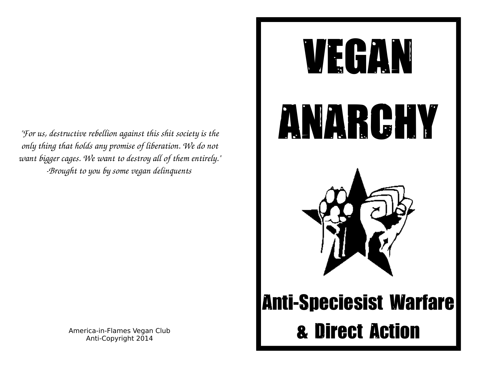*"For us, destructive rebellion against this shit society is the only thing that holds any promise of liberation. We do not want bigger cages. We want to destroy all of them entirely." Brought to you by some vegan delinquents* 

> America-in-Flames Vegan Club Anti-Copyright 2014

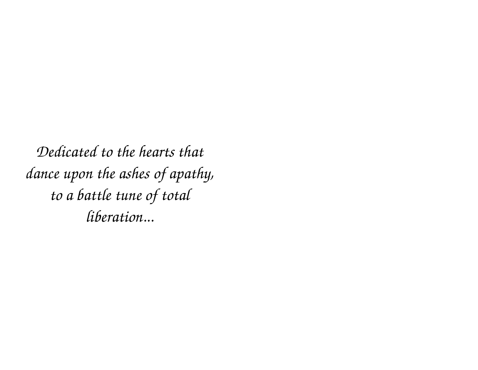*Dedicated to the hearts that dance upon the ashes of apathy, to a battle tune of total liberation...*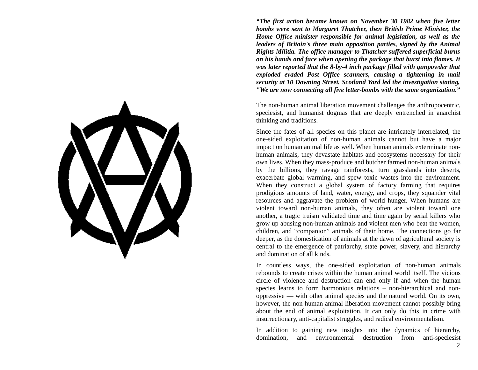

*"The first action became known on November 30 1982 when five letter bombs were sent to Margaret Thatcher, then British Prime Minister, the Home Office minister responsible for animal legislation, as well as the leaders of Britain's three main opposition parties, signed by the Animal Rights Militia. The office manager to Thatcher suffered superficial burns on his hands and face when opening the package that burst into flames. It was later reported that the 8-by-4 inch package filled with gunpowder that exploded evaded Post Office scanners, causing a tightening in mail security at 10 Downing Street. Scotland Yard led the investigation stating, "We are now connecting all five letter-bombs with the same organization."*

The non-human animal liberation movement challenges the anthropocentric, speciesist, and humanist dogmas that are deeply entrenched in anarchist thinking and traditions.

Since the fates of all species on this planet are intricately interrelated, the one-sided exploitation of non-human animals cannot but have a major impact on human animal life as well. When human animals exterminate nonhuman animals, they devastate habitats and ecosystems necessary for their own lives. When they mass-produce and butcher farmed non-human animals by the billions, they ravage rainforests, turn grasslands into deserts, exacerbate global warming, and spew toxic wastes into the environment. When they construct a global system of factory farming that requires prodigious amounts of land, water, energy, and crops, they squander vital resources and aggravate the problem of world hunger. When humans are violent toward non-human animals, they often are violent toward one another, a tragic truism validated time and time again by serial killers who grow up abusing non-human animals and violent men who beat the women, children, and "companion" animals of their home. The connections go far deeper, as the domestication of animals at the dawn of agricultural society is central to the emergence of patriarchy, state power, slavery, and hierarchy and domination of all kinds.

In countless ways, the one-sided exploitation of non-human animals rebounds to create crises within the human animal world itself. The vicious circle of violence and destruction can end only if and when the human species learns to form harmonious relations – non-hierarchical and nonoppressive — with other animal species and the natural world. On its own, however, the non-human animal liberation movement cannot possibly bring about the end of animal exploitation. It can only do this in crime with insurrectionary, anti-capitalist struggles, and radical environmentalism.

In addition to gaining new insights into the dynamics of hierarchy, domination, and environmental destruction from anti-speciesist 2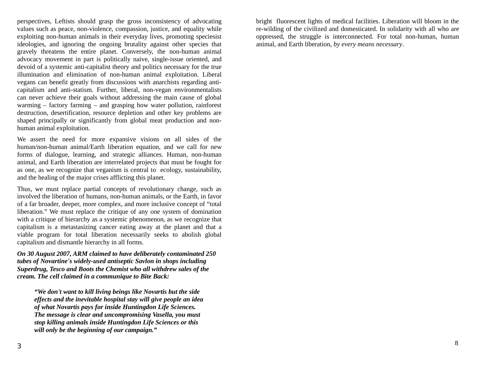perspectives, Leftists should grasp the gross inconsistency of advocating values such as peace, non-violence, compassion, justice, and equality while exploiting non-human animals in their everyday lives, promoting speciesist ideologies, and ignoring the ongoing brutality against other species that gravely threatens the entire planet. Conversely, the non-human animal advocacy movement in part is politically naive, single-issue oriented, and devoid of a systemic anti-capitalist theory and politics necessary for the true illumination and elimination of non-human animal exploitation. Liberal vegans can benefit greatly from discussions with anarchists regarding anticapitalism and anti-statism. Further, liberal, non-vegan environmentalists can never achieve their goals without addressing the main cause of global warming – factory farming – and grasping how water pollution, rainforest destruction, desertification, resource depletion and other key problems are shaped principally or significantly from global meat production and nonhuman animal exploitation.

We assert the need for more expansive visions on all sides of the human/non-human animal/Earth liberation equation, and we call for new forms of dialogue, learning, and strategic alliances. Human, non-human animal, and Earth liberation are interrelated projects that must be fought for as one, as we recognize that veganism is central to ecology, sustainability, and the healing of the major crises afflicting this planet.

Thus, we must replace partial concepts of revolutionary change, such as involved the liberation of humans, non-human animals, or the Earth, in favor of a far broader, deeper, more complex, and more inclusive concept of "total liberation." We must replace the critique of any one system of domination with a critique of hierarchy as a systemic phenomenon, as we recognize that capitalism is a metastasizing cancer eating away at the planet and that a viable program for total liberation necessarily seeks to abolish global capitalism and dismantle hierarchy in all forms.

*On 30 August 2007, ARM claimed to have deliberately contaminated 250 tubes of Novartine's widely-used antiseptic Savlon in shops including Superdrug, Tesco and Boots the Chemist who all withdrew sales of the cream. The cell claimed in a communique to Bite Back:*

*"We don't want to kill living beings like Novartis but the side effects and the inevitable hospital stay will give people an idea of what Novartis pays for inside Huntingdon Life Sciences. The message is clear and uncompromising Vasella, you must stop killing animals inside Huntingdon Life Sciences or this will only be the beginning of our campaign."*

bright fluorescent lights of medical facilities. Liberation will bloom in the re-wilding of the civilized and domesticated. In solidarity with all who are oppressed, the struggle is interconnected. For total non-human, human animal, and Earth liberation, *by every means necessary*.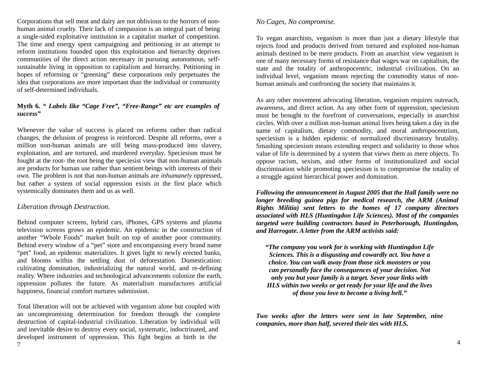Corporations that sell meat and dairy are not oblivious to the horrors of nonhuman animal cruelty. Their lack of compassion is an integral part of being a single-sided exploitative institution in a capitalist market of competition. The time and energy spent campaigning and petitioning in an attempt to reform institutions founded upon this exploitation and hierarchy deprives communities of the direct action necessary in pursuing autonomous, selfsustainable living in opposition to capitalism and hierarchy. Petitioning in hopes of reforming or "greening" these corporations only perpetuates the idea that corporations are more important than the individual or community of self-determined individuals.

# **Myth 6.** *" Labels like "Cage Free", "Free-Range" etc are examples of success"*

Whenever the value of success is placed on reforms rather than radical changes, the delusion of progress is reinforced. Despite all reforms, over a million non-human animals are still being mass-produced into slavery, exploitation, and are tortured, and murdered everyday. Speciesism must be fought at the root- the root being the speciesist view that non-human animals are products for human use rather than sentient beings with interests of their own. The problem is not that non-human animals are *inhumanely* oppressed, but rather a system of social oppression exists in the first place which systemically dominates them and us as well.

# *Liberation through Destruction.*

Behind computer screens, hybrid cars, iPhones, GPS systems and plasma television screens grows an epidemic. An epidemic in the construction of another "Whole Foods" market built on top of another poor community. Behind every window of a "pet" store and encompassing every brand name "pet" food, an epidemic materializes. It gives light to newly erected banks, and blooms within the settling dust of deforestation. Domestication: cultivating domination, industrializing the natural world, and re-defining reality. Where industries and technological advancements colonize the earth, oppression pollutes the future. As materialism manufactures artificial happiness, financial comfort nurtures submission.

Total liberation will not be achieved with veganism alone but coupled with an uncompromising determination for freedom through the complete destruction of capital-industrial civilization. Liberation by individual will and inevitable desire to destroy every social, systematic, indoctrinated, and developed instrument of oppression. This fight begins at birth in the 7

# *No Cages, No compromise.*

To vegan anarchists, veganism is more than just a dietary lifestyle that rejects food and products derived from tortured and exploited non-human animals destined to be mere products. From an anarchist view veganism is one of many necessary forms of resistance that wages war on capitalism, the state and the totality of anthropocentric, industrial civilization. On an individual level, veganism means rejecting the commodity status of nonhuman animals and confronting the society that maintains it.

As any other movement advocating liberation, veganism requires outreach, awareness, and direct action. As any other form of oppression, speciesism must be brought to the forefront of conversations, especially in anarchist circles. With over a million non-human animal lives being taken a day in the name of capitalism, dietary commodity, and moral anthropocentrism, speciesism is a hidden epidemic of normalized discriminatory brutality. Smashing speciesism means extending respect and solidarity to those whos value of life is determined by a system that views them as mere objects. To oppose racism, sexism, and other forms of institutionalized and social discrimination while promoting speciesism is to compromise the totality of a struggle against hierarchical power and domination.

*Following the announcement in August 2005 that the Hall family were no longer breeding guinea pigs for medical research, the ARM (Animal Rights Militia) sent letters to the homes of 17 company directors associated with HLS (Huntingdon Life Sciences). Most of the companies targeted were building contractors based in Peterborough, Huntingdon, and Harrogate. A letter from the ARM activists said:*

*"The company you work for is working with Huntingdon Life Sciences. This is a disgusting and cowardly act. You have a choice. You can walk away from those sick monsters or you can personally face the consequences of your decision. Not only you but your family is a target. Sever your links with HLS within two weeks or get ready for your life and the lives of those you love to become a living hell."*

*Two weeks after the letters were sent in late September, nine companies, more than half, severed their ties with HLS.*